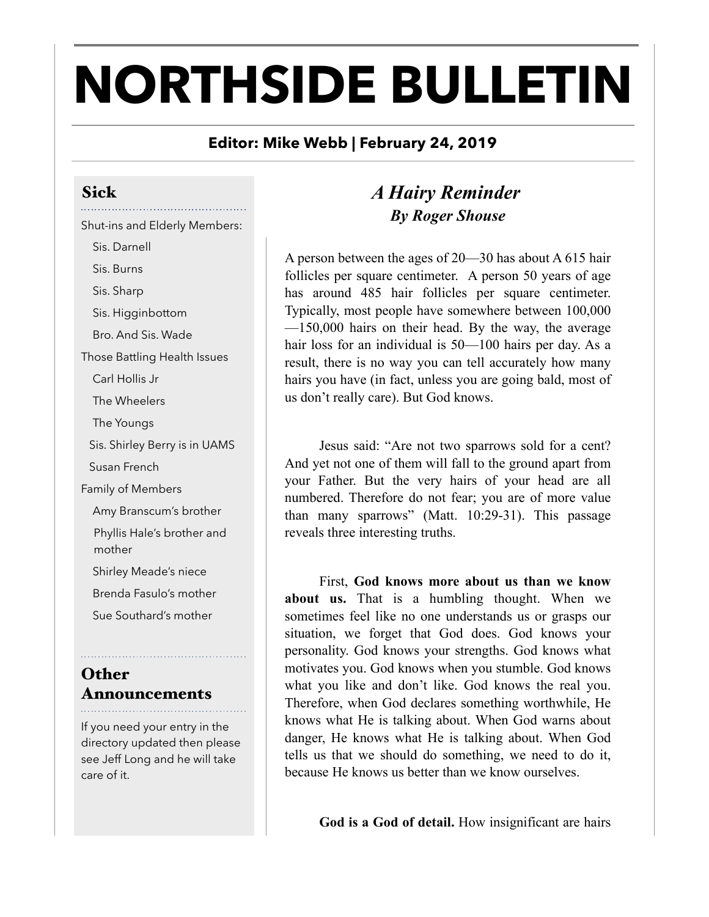# **NORTHSIDE BULLETIN**

#### **Editor: Mike Webb | February 24, 2019**

# Sick

## Shut-ins and Elderly Members:

 Sis. Darnell Sis. Burns

Sis. Sharp

Sis. Higginbottom

Bro. And Sis. Wade

Those Battling Health Issues

Carl Hollis Jr

The Wheelers

The Youngs

Sis. Shirley Berry is in UAMS

Susan French

Family of Members

Amy Branscum's brother

Phyllis Hale's brother and mother

Shirley Meade's niece

Brenda Fasulo's mother

Sue Southard's mother

**Other** Announcements 

If you need your entry in the directory updated then please see Jeff Long and he will take care of it.

# *A Hairy Reminder By Roger Shouse*

A person between the ages of 20—30 has about A 615 hair follicles per square centimeter. A person 50 years of age has around 485 hair follicles per square centimeter. Typically, most people have somewhere between 100,000 —150,000 hairs on their head. By the way, the average hair loss for an individual is 50—100 hairs per day. As a result, there is no way you can tell accurately how many hairs you have (in fact, unless you are going bald, most of us don't really care). But God knows.

 Jesus said: "Are not two sparrows sold for a cent? And yet not one of them will fall to the ground apart from your Father. But the very hairs of your head are all numbered. Therefore do not fear; you are of more value than many sparrows" (Matt. 10:29-31). This passage reveals three interesting truths.

 First, **God knows more about us than we know about us.** That is a humbling thought. When we sometimes feel like no one understands us or grasps our situation, we forget that God does. God knows your personality. God knows your strengths. God knows what motivates you. God knows when you stumble. God knows what you like and don't like. God knows the real you. Therefore, when God declares something worthwhile, He knows what He is talking about. When God warns about danger, He knows what He is talking about. When God tells us that we should do something, we need to do it, because He knows us better than we know ourselves.

**God is a God of detail.** How insignificant are hairs